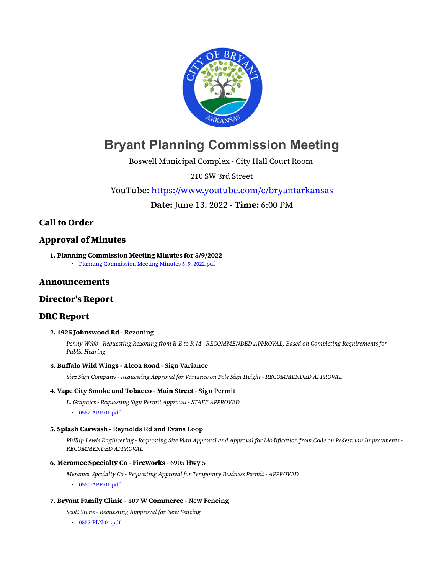

# **Bryant Planning Commission Meeting**

Boswell Municipal Complex - City Hall Court Room

210 SW 3rd Street

YouTube: <https://www.youtube.com/c/bryantarkansas>

**Date:** June 13, 2022 - **Time:** 6:00 PM

# **Call to Order**

# **Approval of Minutes**

**1. Planning Commission Meeting Minutes for 5/9/2022** • [Planning Commission Meeting Minutes 5\\_9\\_2022.pdf](https://www.cityofbryant.com/grab/agendas/uploads/agenda_113/planning_commission_meeting_minutes_5_9_2022.pdf)

## **Announcements**

## **Director's Report**

## **DRC Report**

#### **2. 1925 Johnswood Rd - Rezoning**

*Penny Webb - Requesting Rezoning from R-E to R-M - RECOMMENDED APPROVAL, Based on Completing Requirements for Public Hearing*

#### **3. Buffalo Wild Wings - Alcoa Road - Sign Variance**

*Siez Sign Company - Requesting Approval for Variance on Pole Sign Height - RECOMMENDED APPROVAL*

#### **4. Vape City Smoke and Tobacco - Main Street - Sign Permit**

*L. Graphics - Requesting Sign Permit Approval - STAFF APPROVED*

• [0562-APP-01.pdf](https://www.cityofbryant.com/grab/agendas/uploads/agenda_113/0562-app-01.pdf)

#### **5. Splash Carwash - Reynolds Rd and Evans Loop**

*Phillip Lewis Engineering - Requesting Site Plan Approval and Approval for Modification from Code on Pedestrian Improvments - RECOMMENDED APPROVAL*

#### **6. Meramec Specialty Co - Fireworks - 6905 Hwy 5**

*Meramec Specialty Co - Requesting Approval for Temporary Business Permit - APPROVED*

• [0550-APP-01.pdf](https://www.cityofbryant.com/grab/agendas/uploads/agenda_113/0550-app-01.pdf)

#### **7. Bryant Family Clinic - 507 W Commerce - New Fencing**

- *Scott Stone Requesting Appproval for New Fencing*
- $\cdot$  [0552-PLN-01.pdf](https://www.cityofbryant.com/grab/agendas/uploads/agenda_113/0552-pln-01.pdf)